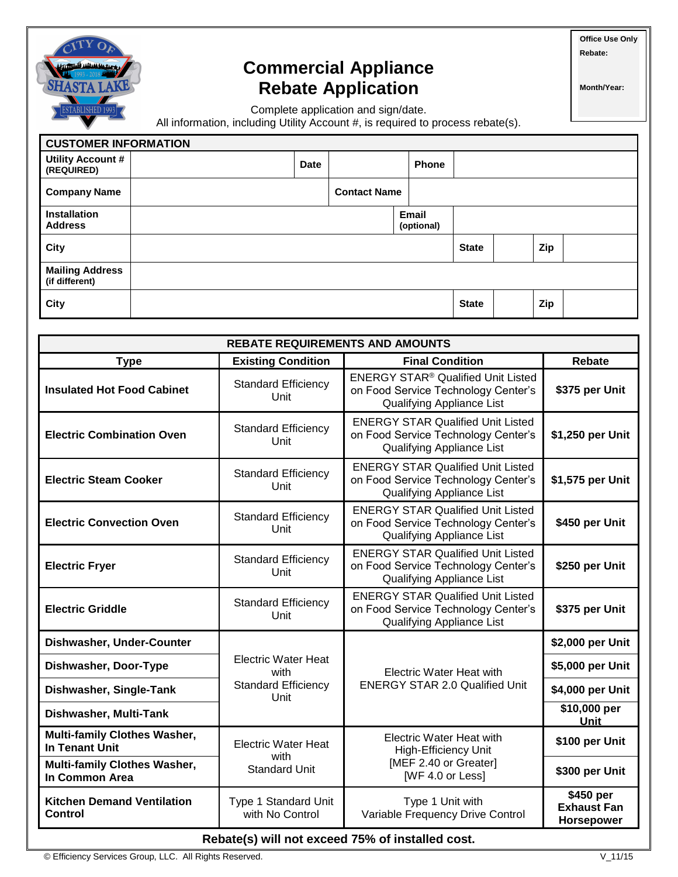

## **Commercial Appliance Rebate Application**

**Office Use Only Rebate:** 

**Month/Year:**

Complete application and sign/date.

All information, including Utility Account #, is required to process rebate(s).

| <b>CUSTOMER INFORMATION</b>              |  |             |                     |  |                            |              |  |     |  |
|------------------------------------------|--|-------------|---------------------|--|----------------------------|--------------|--|-----|--|
| Utility Account #<br>(REQUIRED)          |  | <b>Date</b> |                     |  | <b>Phone</b>               |              |  |     |  |
| <b>Company Name</b>                      |  |             | <b>Contact Name</b> |  |                            |              |  |     |  |
| Installation<br><b>Address</b>           |  |             |                     |  | <b>Email</b><br>(optional) |              |  |     |  |
| City                                     |  |             |                     |  |                            | <b>State</b> |  | Zip |  |
| <b>Mailing Address</b><br>(if different) |  |             |                     |  |                            |              |  |     |  |
| City                                     |  |             |                     |  |                            | <b>State</b> |  | Zip |  |

| <b>REBATE REQUIREMENTS AND AMOUNTS</b>                       |                                         |                                                                                                                                 |                                               |  |  |  |  |  |
|--------------------------------------------------------------|-----------------------------------------|---------------------------------------------------------------------------------------------------------------------------------|-----------------------------------------------|--|--|--|--|--|
| <b>Type</b>                                                  | <b>Existing Condition</b>               | <b>Final Condition</b>                                                                                                          | Rebate                                        |  |  |  |  |  |
| <b>Insulated Hot Food Cabinet</b>                            | <b>Standard Efficiency</b><br>Unit      | <b>ENERGY STAR<sup>®</sup> Qualified Unit Listed</b><br>on Food Service Technology Center's<br><b>Qualifying Appliance List</b> | \$375 per Unit                                |  |  |  |  |  |
| <b>Electric Combination Oven</b>                             | <b>Standard Efficiency</b><br>Unit      | <b>ENERGY STAR Qualified Unit Listed</b><br>on Food Service Technology Center's<br><b>Qualifying Appliance List</b>             | \$1,250 per Unit                              |  |  |  |  |  |
| <b>Electric Steam Cooker</b>                                 | <b>Standard Efficiency</b><br>Unit      | <b>ENERGY STAR Qualified Unit Listed</b><br>on Food Service Technology Center's<br>Qualifying Appliance List                    | \$1,575 per Unit                              |  |  |  |  |  |
| <b>Electric Convection Oven</b>                              | <b>Standard Efficiency</b><br>Unit      | <b>ENERGY STAR Qualified Unit Listed</b><br>on Food Service Technology Center's<br>Qualifying Appliance List                    | \$450 per Unit                                |  |  |  |  |  |
| <b>Electric Fryer</b>                                        | <b>Standard Efficiency</b><br>Unit      | <b>ENERGY STAR Qualified Unit Listed</b><br>on Food Service Technology Center's<br><b>Qualifying Appliance List</b>             | \$250 per Unit                                |  |  |  |  |  |
| <b>Electric Griddle</b>                                      | <b>Standard Efficiency</b><br>Unit      | <b>ENERGY STAR Qualified Unit Listed</b><br>on Food Service Technology Center's<br>Qualifying Appliance List                    | \$375 per Unit                                |  |  |  |  |  |
| Dishwasher, Under-Counter                                    |                                         |                                                                                                                                 | \$2,000 per Unit                              |  |  |  |  |  |
| Dishwasher, Door-Type                                        | <b>Electric Water Heat</b><br>with      | <b>Electric Water Heat with</b>                                                                                                 | \$5,000 per Unit                              |  |  |  |  |  |
| Dishwasher, Single-Tank                                      | <b>Standard Efficiency</b><br>Unit      | <b>ENERGY STAR 2.0 Qualified Unit</b>                                                                                           | \$4,000 per Unit                              |  |  |  |  |  |
| Dishwasher, Multi-Tank                                       |                                         |                                                                                                                                 | \$10,000 per<br>Unit                          |  |  |  |  |  |
| <b>Multi-family Clothes Washer,</b><br><b>In Tenant Unit</b> | <b>Electric Water Heat</b>              | <b>Electric Water Heat with</b><br><b>High-Efficiency Unit</b>                                                                  | \$100 per Unit                                |  |  |  |  |  |
| <b>Multi-family Clothes Washer,</b><br>In Common Area        | with<br><b>Standard Unit</b>            | [MEF 2.40 or Greater]<br>[WF 4.0 or Less]                                                                                       | \$300 per Unit                                |  |  |  |  |  |
| <b>Kitchen Demand Ventilation</b><br>Control                 | Type 1 Standard Unit<br>with No Control | Type 1 Unit with<br>Variable Frequency Drive Control                                                                            | \$450 per<br><b>Exhaust Fan</b><br>Horsepower |  |  |  |  |  |

**Rebate(s) will not exceed 75% of installed cost.** 

© Efficiency Services Group, LLC. All Rights Reserved. V\_11/15